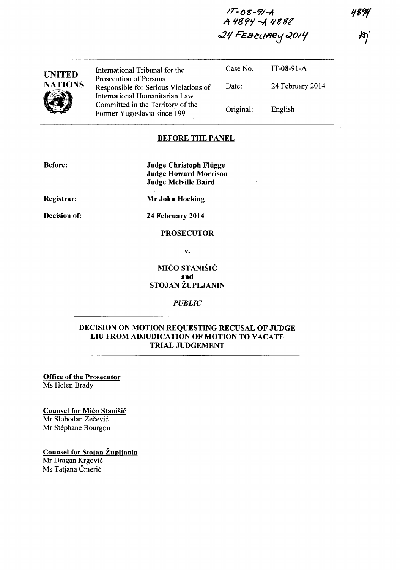*IT-OS-9/-A*  A 4894 - A 4888 24 FEBRUARY 2014

| <b>UNITED</b><br><b>NATIONS</b> | International Tribunal for the<br>Prosecution of Persons                                                                                     | Case No.  | $IT-08-91-A$     |
|---------------------------------|----------------------------------------------------------------------------------------------------------------------------------------------|-----------|------------------|
|                                 | Responsible for Serious Violations of<br>International Humanitarian Law<br>Committed in the Territory of the<br>Former Yugoslavia since 1991 | Date:     | 24 February 2014 |
|                                 |                                                                                                                                              | Original: | English          |

## BEFORE THE PANEL

| <b>Before:</b> | <b>Judge Christoph Flügge</b><br><b>Judge Howard Morrison</b> |  |  |
|----------------|---------------------------------------------------------------|--|--|
|                | Judge Melville Baird                                          |  |  |
| Registrar:     | Mr John Hocking                                               |  |  |
| Decision of:   | 24 February 2014                                              |  |  |

#### PROSECUTOR

v.

# MIĆO STANIŠIĆ and STOJAN ŽUPLJANIN

## *PUBLIC*

# DECISION ON MOTION REQUESTING RECUSAL OF JUDGE LIU FROM ADJUDICATION OF MOTION TO VACATE TRIAL JUDGEMENT

Office of the Prosecutor Ms Helen Brady

## Counsel for Mico Stanisic

Mr Slobodan Zečević Mr Stephane Bourgon

#### Counsel for Stojan Zuplianin

Mr Dragan Krgovic Ms Tatjana Čmerić

4894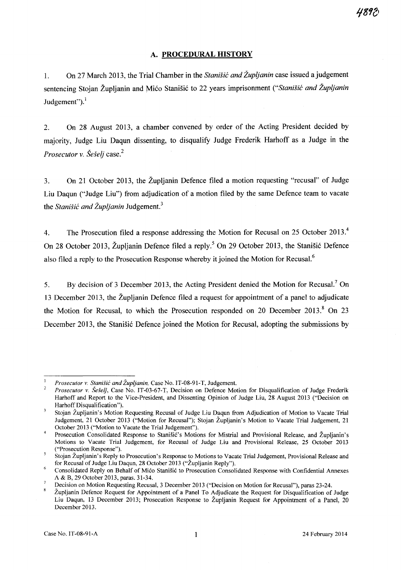# A. **PROCEDURAL HISTORY**

1. On 27 March 2013, the Trial Chamber in the *Stanisic and Zupljanin* case issued a judgement sentencing Stojan Župljanin and Mićo Stanišić to 22 years imprisonment *("Stanišić and Župljanin* Judgement").<sup>1</sup>

2. On 28 August 2013, a chamber convened by order of the Acting President decided by majority, Judge Liu Daqun dissenting, to disqualify Judge Frederik Harhoff as a Judge in the *Prosecutor* v. *Seselj* case. 2

3. On 21 October 2013, the Zupljanin Defence filed a motion requesting "recusal" of Judge Liu Daqun ("Judge Liu") from adjudication of a motion filed by the same Defence team to vacate the *Stanišić and Župljanin* Judgement.<sup>3</sup>

4. The Prosecution filed a response addressing the Motion for Recusal on 25 October 2013.<sup>4</sup> On 28 October 2013, Župljanin Defence filed a reply.<sup>5</sup> On 29 October 2013, the Stanišić Defence also filed a reply to the Prosecution Response whereby it joined the Motion for Recusal.<sup>6</sup>

5. By decision of 3 December 2013, the Acting President denied the Motion for Recusal.<sup>7</sup> On 13 December 2013, the Zupljanin Defence filed a request for appointment of a panel to adjudicate the Motion for Recusal, to which the Prosecution responded on 20 December 2013.<sup>8</sup> On 23 December 2013, the Stanišić Defence joined the Motion for Recusal, adopting the submissions by

*Prosecutor v. Stanisit and Zupljanin,* Case No. IT -08-91-T, Judgement.

 $\overline{2}$ *Prosecutor v. Šešelj*, Case No. IT-03-67-T, Decision on Defence Motion for Disqualification of Judge Frederik Harhoff and Report to the Vice-President, and Dissenting Opinion of Judge Liu, 28 August 2013 ("Decision on Harhoff Disqualification").

 $\overline{\mathbf{3}}$ Stojan Zupljanin's Motion Requesting Recusal of Judge Liu Daqun from Adjudication of Motion to Vacate Trial Judgement, 21 October 2013 ("Motion for Recusal"); Stojan Zupljanin's Motion to Vacate Trial Judgement, 21 October 2013 ("Motion to Vacate the Trial Judgement").

Prosecution Consolidated Response to Stanišić's Motions for Mistrial and Provisional Release, and Župljanin's Motions to Vacate Trial Judgement, for Recusal of Judge Liu and Provisional Release, 25 October 2013 ("Prosecution Response").

Stojan Zupljanin's Reply to Prosecution's Response to Motions to Vacate Trial Judgement, Provisional Release and for Recusal of Judge Liu Daqun, 28 October 2013 ("Zupljanin Reply").

<sup>6</sup>  Consolidated Reply on Behalf of Mico Stanisic to Prosecution Consolidated Response with Confidential Annexes A & B, 29 October 2013, paras. 31-34.

Decision on Motion Requesting Recusal, 3 December 2013 ("Decision on Motion for Recusal"), paras 23-24.

Zupljanin Defence Request for Appointment of a Panel To Adjudicate the Request for Disqualification of Judge Liu Daqun, 13 December 2013; Prosecution Response to Zupljanin Request for Appointment of a Panel, 20 December 2013.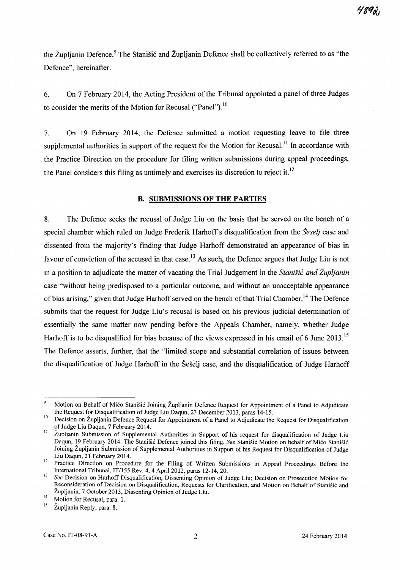the Župljanin Defence.<sup>9</sup> The Stanišić and Župljanin Defence shall be collectively referred to as "the Defence", hereinafter.

6. On 7 February 2014, the Acting President of the Tribunal appointed a panel of three Judges to consider the merits of the Motion for Recusal ("Panel").<sup>10</sup>

7. On 19 February 2014, the Defence submitted a motion requesting leave to file three supplemental authorities in support of the request for the Motion for Recusal.<sup>11</sup> In accordance with the Practice Direction on the procedure for filing written submissions during appeal proceedings, the Panel considers this filing as untimely and exercises its discretion to reject it.<sup>12</sup>

## B. SUBMISSIONS OF THE PARTIES

8. The Defence seeks the recusal of Judge Liu on the basis that he served on the bench of a special chamber which ruled on Judge Frederik Harhoff's disqualification from the *Seselj* case and dissented from the majority's finding that Judge Harhoff demonstrated an appearance of bias in favour of conviction of the accused in that case.<sup>13</sup> As such, the Defence argues that Judge Liu is not in a position to adjudicate the matter of vacating the Trial Judgement in the *Stanisii: and Zupljanin*  case "without being predisposed to a particular outcome, and without an unacceptable appearance of bias arising," given that Judge Harhoff served on the bench of that Trial Chamber.<sup>14</sup> The Defence submits that the request for Judge Liu's recusal is based on his previous judicial determination of essentially the same matter now pending before the Appeals Chamber, namely, whether Judge Harhoff is to be disqualified for bias because of the views expressed in his email of 6 June 2013.<sup>15</sup> The Defence asserts, further, that the "limited scope and substantial correlation of issues between the disqualification of Judge Harhoff in the Sesetj case, and the disqualification of Judge Harhoff

 $\overline{9}$ Motion on Behalf of Mićo Stanišić Joining Župljanin Defence Request for Appointment of a Panel to Adjudicate the Request for Disqualification of Judge Liu Daqun, 23 December 2013, paras 14-15.

<sup>&</sup>lt;sup>10</sup> Decision on Župljanin Defence Request for Appointment of a Panel to Adjudicate the Request for Disqualification of Judge Liu Daqun, 7 February 2014.

II Zupljanin Submission of Supplemental Authorities in Support of his request for disqualification of Judge Liu Daqun, 19 February 2014. The Stanišić Defence joined this filing. *See Stanišić Motion on behalf of Mićo Stanišić* Joining Zupljanin Submission of Supplemental Authorities in Support of his Request for Disqualification of Judge Liu Daqun, 21 February 2014.

<sup>&</sup>lt;sup>12</sup> Practice Direction on Procedure for the Filing of Written Submissions in Appeal Proceedings Before the International Tribunal, IT/155 Rev. 4, 4 April 2012, paras 12-14, 20.

<sup>13</sup>*See* Decision on Harhoff Disqualification, Dissenting Opinion of Judge Liu; Decision on Prosecution Motion for Reconsideration of Decision on Disqualification, Requests for Clarification, and Motion on Behalf of Stanišić and Župljanin, 7 October 2013, Dissenting Opinion of Judge Liu.

<sup>&</sup>lt;sup>14</sup> Motion for Recusal, para. 1.<br><sup>15</sup> Župlianin Benly, para. 8

Župljanin Reply, para. 8.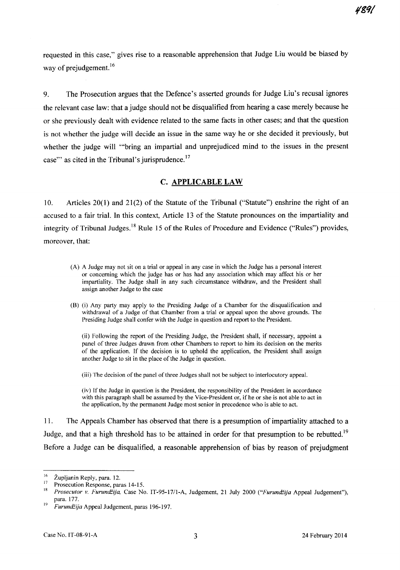4891

requested in this case," gives rise to a reasonable apprehension that Judge Liu would be biased by way of prejudgement. $16$ 

9. The Prosecution argues that the Defence's asserted grounds for Judge Liu's recusal ignores the relevant case law: that a judge should not be disqualified from hearing a case merely because he or she previously dealt with evidence related to the same facts in other cases; and that the question is not whether the judge will decide an issue in the same way he or she decided it previously, but whether the judge will "'bring an impartial and unprejudiced mind to the issues in the present case" as cited in the Tribunal's jurisprudence.<sup>17</sup>

# C. APPLICABLE LAW

10. Articles 20(1) and 21(2) of the Statute of the Tribunal ("Statute") enshrine the right of an accused to a fair trial. In this context, Article 13 of the Statute pronounces on the impartiality and integrity of Tribunal Judges.<sup>18</sup> Rule 15 of the Rules of Procedure and Evidence ("Rules") provides, moreover, that:

- (A) A Judge may not sit on a trial or appeal in any case in which the Judge has a personal interest or concerning which the judge has or has had any association which may affect his or her impartiality. The Judge shall in any such circumstance withdraw, and the President shall assign another Judge to the case
- (B) (i) Any party may apply to the Presiding Judge of a Chamber for the disqualification and withdrawal of a Judge of that Chamber from a trial or appeal upon the above grounds. The Presiding Judge shall confer with the Judge in question and report to the President.

(ii) Following the report of the Presiding Judge, the President shall, if necessary, appoint a panel of three Judges drawn from other Chambers to report to him its decision on the merits of the application. If the decision is to uphold the application, the President shall assign another Judge to sit in the place of the Judge in question.

(iii) The decision of the panel of three Judges shall not be subject to interlocutory appeal.

(iv) If the Judge in question is the President, the responsibility of the President in accordance with this paragraph shall be assumed by the Vice-President or, if he or she is not able to act in the application, by the permanent Judge most senior in precedence who is able to act.

11. The Appeals Chamber has observed that there is a presumption of impartiality attached to a Judge, and that a high threshold has to be attained in order for that presumption to be rebutted.<sup>19</sup> Before a Judge can be disqualified, a reasonable apprehension of bias by reason of prejudgment

 $\frac{16}{17}$  Župljanin Reply, para. 12.

<sup>&</sup>lt;sup>17</sup> Prosecution Response, paras 14-15.

<sup>18</sup>*Prosecutor* v. *Furundiija,* Case No. IT-95-17/l-A, Judgement, 21 July 2000 *("Furundiija* Appeal Judgement"), para. 177.

<sup>19</sup>*Furundiija* Appeal Judgement, paras 196-197.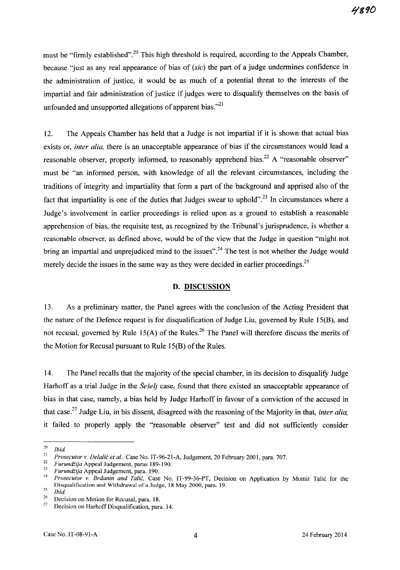must be "firmly established".<sup>20</sup> This high threshold is required, according to the Appeals Chamber, because "just as any real appearance of bias of (sic) the part of a judge undermines confidence in the administration of justice, it would be as much of a potential threat to the interests of the impartial and fair administration of justice if judges were to disqualify themselves on the basis of unfounded and unsupported allegations of apparent bias."<sup>21</sup>

12. The Appeals Chamber has held that a Judge is not impartial if it is shown that actual bias exists or, *inter alia,* there is an unacceptable appearance of bias if the circumstances would lead a reasonable observer, properly informed, to reasonably apprehend bias.<sup>22</sup> A "reasonable observer" must be "an infonned person, with knowledge of all the relevant circumstances, including the traditions of integrity and impartiality that fonn a part of the background and apprised also of the fact that impartiality is one of the duties that Judges swear to uphold".<sup>23</sup> In circumstances where a Judge's involvement in earlier proceedings is relied upon as a ground to establish a reasonable apprehension of bias, the requisite test, as recognized by the Tribunal's jurisprudence, is whether a reasonable observer, as defined above, would be of the view that the Judge in question "might not bring an impartial and unprejudiced mind to the issues".<sup>24</sup> The test is not whether the Judge would merely decide the issues in the same way as they were decided in earlier proceedings.<sup>25</sup>

## D. DISCUSSION

13. As a preliminary matter, the Panel agrees with the conclusion of the Acting President that the nature of the Defence request is for disqualification of Judge Liu, governed by Rule 15(B), and not recusal, governed by Rule 15(A) of the Rules.<sup>26</sup> The Panel will therefore discuss the merits of the Motion for Recusal pursuant to Rule 15(B) of the Rules.

14. The Panel recalls that the majority of the special chamber, in its decision to disqualify Judge Harhoff as a trial Judge in the *Seselj* case, found that there existed an unacceptable appearance of bias in that case, namely, a bias held by Judge Harhoff in favour of a conviction of the accused in that case.27 Judge Liu, in his dissent, disagreed with the reasoning of the Majority in that, *inter alia,*  it failed to properly apply the "reasonable observer" test and did not sufficiently consider

 $\frac{20}{21}$  *Ibid.* 

<sup>&</sup>lt;sup>21</sup> Prosecutor v. *Delalić et al.*, Case No. IT-96-21-A, Judgement, 20 February 2001, para. 707.

*<sup>22</sup> Furundiija* Appeal Judgement, paras 189-190.

*<sup>23</sup> Furundiija* Appeal Judgement, para. 190.

*Prosecutor v. Brdanin and Talić*, Case No. IT-99-36-PT, Decision on Application by Momir Talić for the Disqualification and Withdrawal of a Judge, 18 May 2000, para. 19.

 $\frac{25}{26}$  *Ibid.* 

<sup>&</sup>lt;sup>26</sup> Decision on Motion for Recusal, para. 18.<br><sup>27</sup> Decision on Harboff Discuplification, para.

Decision on Harhoff Disqualification, para. 14.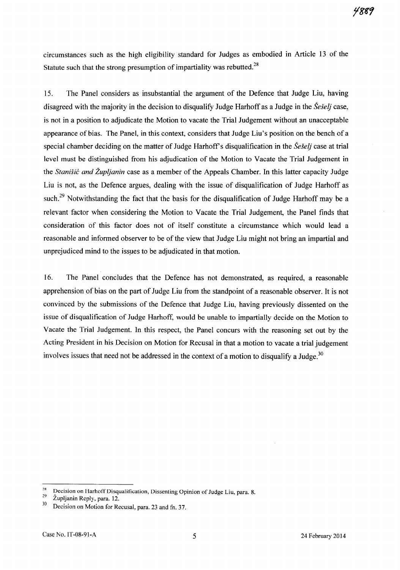circumstances such as the high eligibility standard for Judges as embodied in Article 13 of the Statute such that the strong presumption of impartiality was rebutted.<sup>28</sup>

15. The Panel considers as insubstantial the argument of the Defence that Judge Liu, having disagreed with the majority in the decision to disqualify Judge Harhoff as a Judge in the *Seselj* case, is not in a position to adjudicate the Motion to vacate the Trial Judgement without an unacceptable appearance of bias. The Panel, in this context, considers that Judge Liu's position on the bench ofa special chamber deciding on the matter of Judge Harhoff's disqualification in the *Seselj* case at trial level must be distinguished from his adjudication of the Motion to Vacate the Trial Judgement in the *Stanišić and Župljanin* case as a member of the Appeals Chamber. In this latter capacity Judge Liu is not, as the Defence argues, dealing with the issue of disqualification of Judge Harhoff as such.<sup>29</sup> Notwithstanding the fact that the basis for the disqualification of Judge Harhoff may be a relevant factor when considering the Motion to Vacate the Trial Judgement, the Panel finds that consideration of this factor does not of itself constitute a circumstance which would lead a reasonable and informed observer to be of the view that Judge Liu might not bring an impartial and unprejudiced mind to the issues to be adjudicated in that motion.

16. The Panel concludes that the Defence has not demonstrated, as required, a reasonable apprehension of bias on the part of Judge Liu from the standpoint of a reasonable observer. It is not convinced by the submissions of the Defence that Judge Liu, having previously dissented on the issue of disqualification of Judge Harhoff, would be unable to impartially decide on the Motion to Vacate the Trial Judgement. In this respect, the Panel concurs with the reasoning set out by the Acting President in his Decision on Motion for Recusal in that a motion to vacate a trial judgement involves issues that need not be addressed in the context of a motion to disqualify a Judge.<sup>30</sup>

<sup>&</sup>lt;sup>28</sup> Decision on Harhoff Disqualification, Dissenting Opinion of Judge Liu, para. 8.

 $\frac{29}{30}$  Župljanin Reply, para. 12.

Decision on Motion for Recusal, para. 23 and fn. 37.